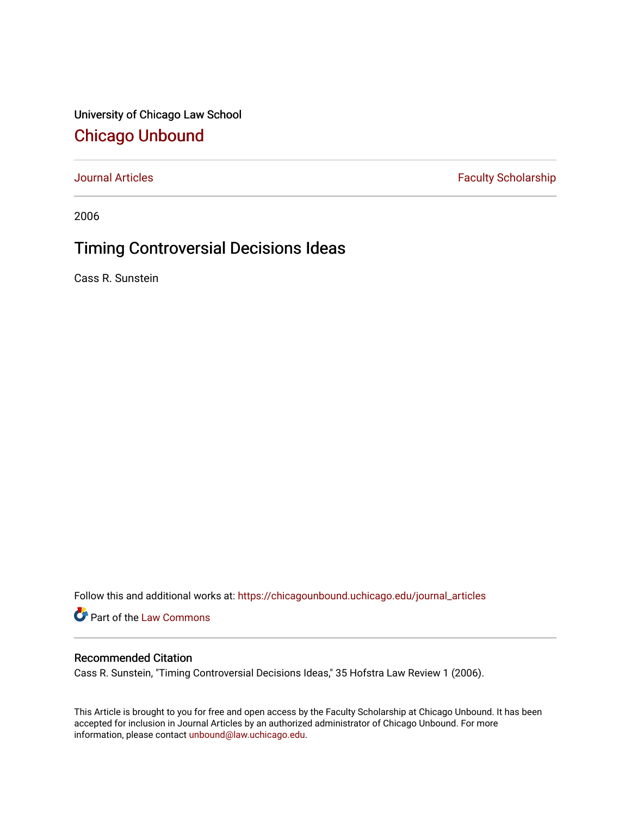University of Chicago Law School [Chicago Unbound](https://chicagounbound.uchicago.edu/)

[Journal Articles](https://chicagounbound.uchicago.edu/journal_articles) **Faculty Scholarship Faculty Scholarship** 

2006

## Timing Controversial Decisions Ideas

Cass R. Sunstein

Follow this and additional works at: [https://chicagounbound.uchicago.edu/journal\\_articles](https://chicagounbound.uchicago.edu/journal_articles?utm_source=chicagounbound.uchicago.edu%2Fjournal_articles%2F8610&utm_medium=PDF&utm_campaign=PDFCoverPages) 

Part of the [Law Commons](http://network.bepress.com/hgg/discipline/578?utm_source=chicagounbound.uchicago.edu%2Fjournal_articles%2F8610&utm_medium=PDF&utm_campaign=PDFCoverPages)

#### Recommended Citation

Cass R. Sunstein, "Timing Controversial Decisions Ideas," 35 Hofstra Law Review 1 (2006).

This Article is brought to you for free and open access by the Faculty Scholarship at Chicago Unbound. It has been accepted for inclusion in Journal Articles by an authorized administrator of Chicago Unbound. For more information, please contact [unbound@law.uchicago.edu](mailto:unbound@law.uchicago.edu).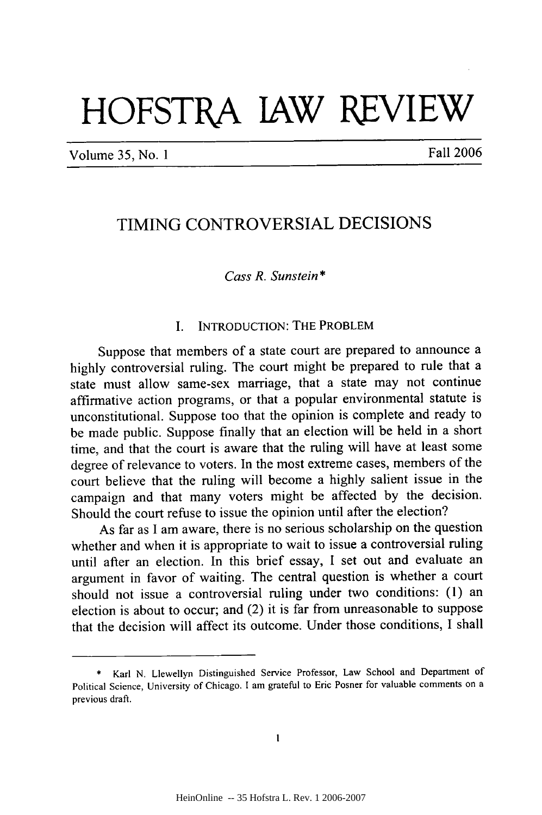# **HOFSTRA lAW REVIEW**

Volume *35,* No. 1 Fall 2006

### TIMING CONTROVERSIAL DECISIONS

#### *Cass R. Sunstein* **\***

#### I. **INTRODUCTION:** THE PROBLEM

Suppose that members of a state court are prepared to announce a highly controversial ruling. The court might be prepared to rule that a state must allow same-sex marriage, that a state may not continue affirmative action programs, or that a popular environmental statute is unconstitutional. Suppose too that the opinion is complete and ready to be made public. Suppose finally that an election will be held in a short time, and that the court is aware that the ruling will have at least some degree of relevance to voters. In the most extreme cases, members of the court believe that the ruling will become a highly salient issue in the campaign and that many voters might be affected by the decision. Should the court refuse to issue the opinion until after the election?

As far as I am aware, there is no serious scholarship on the question whether and when it is appropriate to wait to issue a controversial ruling until after an election. In this brief essay, I set out and evaluate an argument in favor of waiting. The central question is whether a court should not issue a controversial ruling under two conditions: (1) an election is about to occur; and (2) it is far from unreasonable to suppose that the decision will affect its outcome. Under those conditions, I shall

<sup>\*</sup> Karl N. Llewellyn Distinguished Service Professor, Law School and Department of Political Science, University of Chicago. **I** am grateful to Eric Posner for valuable comments on a previous draft.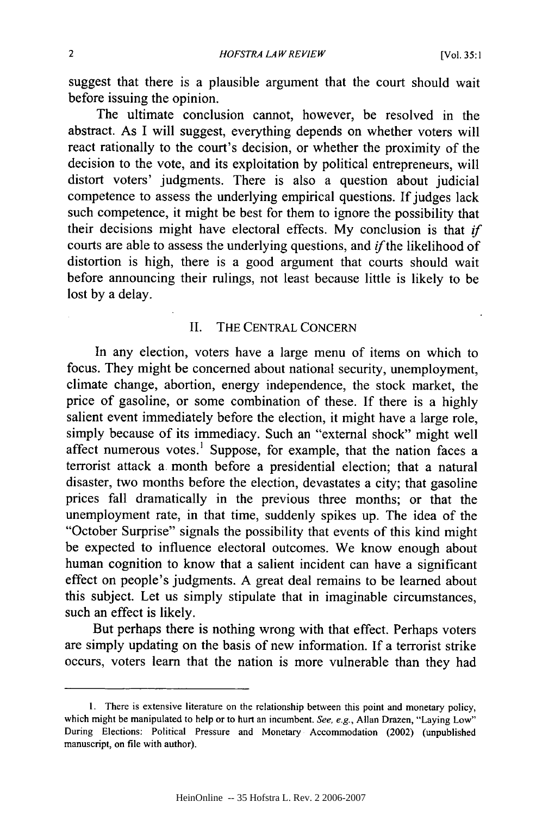suggest that there is a plausible argument that the court should wait before issuing the opinion.

The ultimate conclusion cannot, however, be resolved in the abstract. As I will suggest, everything depends on whether voters will react rationally to the court's decision, or whether the proximity of the decision to the vote, and its exploitation by political entrepreneurs, will distort voters' judgments. There is also a question about judicial competence to assess the underlying empirical questions. If judges lack such competence, it might be best for them to ignore the possibility that their decisions might have electoral effects. My conclusion is that *if* courts are able to assess the underlying questions, and *ifthe* likelihood of distortion is high, there is a good argument that courts should wait before announcing their rulings, not least because little is likely to be lost by a delay.

#### II. THE CENTRAL CONCERN

In any election, voters have a large menu of items on which to focus. They might be concerned about national security, unemployment, climate change, abortion, energy independence, the stock market, the price of gasoline, or some combination of these. If there is a highly salient event immediately before the election, it might have a large role, simply because of its immediacy. Such an "external shock" might well affect numerous votes.' Suppose, for example, that the nation faces a terrorist attack a. month before a presidential election; that a natural disaster, two months before the election, devastates a city; that gasoline prices fall dramatically in the previous three months; or that the unemployment rate, in that time, suddenly spikes up. The idea of the "October Surprise" signals the possibility that events of this kind might be expected to influence electoral outcomes. We know enough about human cognition to know that a salient incident can have a significant effect on people's judgments. A great deal remains to be learned about this subject. Let us simply stipulate that in imaginable circumstances, such an effect is likely.

But perhaps there is nothing wrong with that effect. Perhaps voters are simply updating on the basis of new information. If a terrorist strike occurs, voters learn that the nation is more vulnerable than they had

**<sup>1.</sup>** There is extensive literature on the relationship between this point and monetary policy, which might be manipulated to help or to hurt an incumbent. See, e.g., Allan Drazen, "Laying Low" During Elections: Political Pressure and Monetary Accommodation (2002) (unpublished manuscript, on file with author).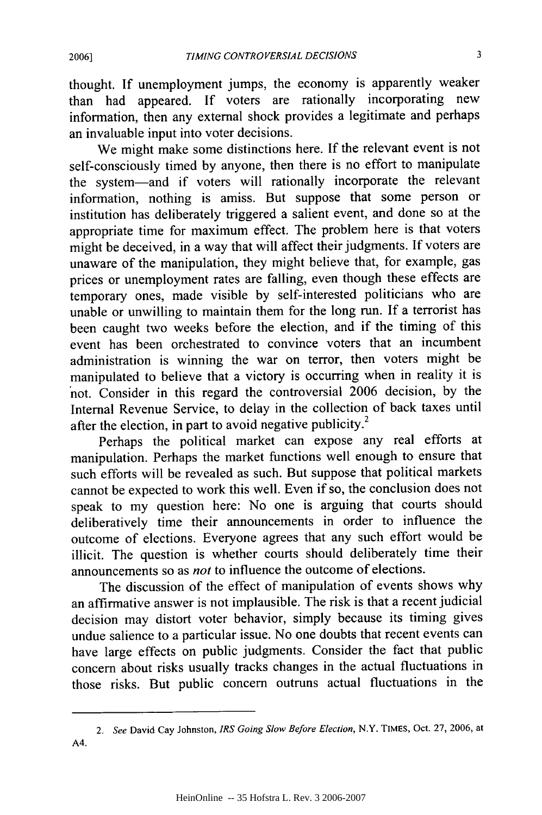**2006]**

thought. If unemployment jumps, the economy is apparently weaker than had appeared. If voters are rationally incorporating new information, then any external shock provides a legitimate and perhaps an invaluable input into voter decisions.

We might make some distinctions here. If the relevant event is not self-consciously timed by anyone, then there is no effort to manipulate the system-and if voters will rationally incorporate the relevant information, nothing is amiss. But suppose that some person or institution has deliberately triggered a salient event, and done so at the appropriate time for maximum effect. The problem here is that voters might be deceived, in a way that will affect their judgments. If voters are unaware of the manipulation, they might believe that, for example, gas prices or unemployment rates are falling, even though these effects are temporary ones, made visible by self-interested politicians who are unable or unwilling to maintain them for the long run. If a terrorist has been caught two weeks before the election, and if the timing of this event has been orchestrated to convince voters that an incumbent administration is winning the war on terror, then voters might be manipulated to believe that a victory is occurring when in reality it is not. Consider in this regard the controversial 2006 decision, by the Internal Revenue Service, to delay in the collection of back taxes until after the election, in part to avoid negative publicity.<sup>2</sup>

Perhaps the political market can expose any real efforts at manipulation. Perhaps the market functions well enough to ensure that such efforts will be revealed as such. But suppose that political markets cannot be expected to work this well. Even if so, the conclusion does not speak to my question here: No one is arguing that courts should deliberatively time their announcements in order to influence the outcome of elections. Everyone agrees that any such effort would be illicit. The question is whether courts should deliberately time their announcements so as *not* to influence the outcome of elections.

The discussion of the effect of manipulation of events shows why an affirmative answer is not implausible. The risk is that a recent judicial decision may distort voter behavior, simply because its timing gives undue salience to a particular issue. No one doubts that recent events can have large effects on public judgments. Consider the fact that public concern about risks usually tracks changes in the actual fluctuations in those risks. But public concern outruns actual fluctuations in the

*<sup>2.</sup>* See David Cay Johnston, IRS Going *Slow Before Election,* N.Y. TIMES, Oct. 27, 2006, at A4.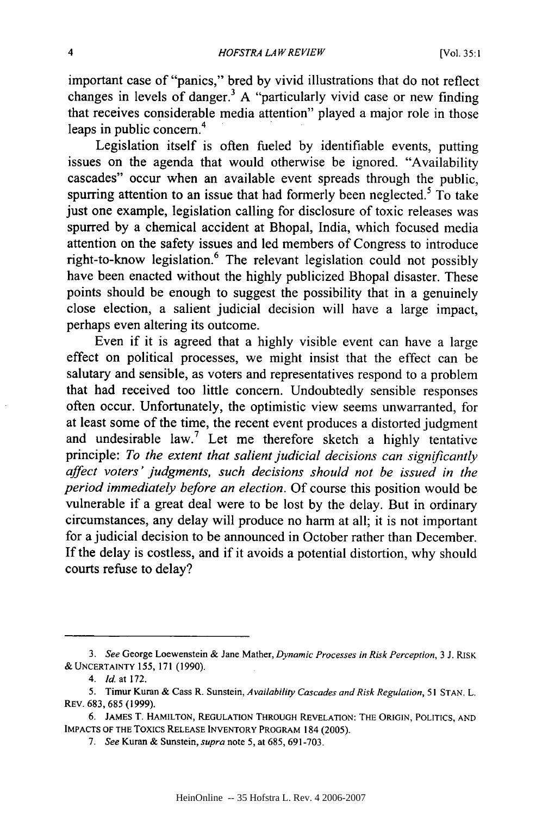important case of "panics," bred by vivid illustrations that do not reflect changes in levels of danger.<sup>3</sup> A "particularly vivid case or new finding that receives considerable media attention" played a major role in those 4 leaps in public concern.

Legislation itself is often fueled by identifiable events, putting issues on the agenda that would otherwise be ignored. "Availability cascades" occur when an available event spreads through the public, spurring attention to an issue that had formerly been neglected.<sup>5</sup> To take just one example, legislation calling for disclosure of toxic releases was spurred by a chemical accident at Bhopal, India, which focused media attention on the safety issues and led members of Congress to introduce right-to-know legislation.<sup>6</sup> The relevant legislation could not possibly have been enacted without the highly publicized Bhopal disaster. These points should be enough to suggest the possibility that in a genuinely close election, a salient judicial decision will have a large impact, perhaps even altering its outcome.

Even if it is agreed that a highly visible event can have a large effect on political processes, we might insist that the effect can be salutary and sensible, as voters and representatives respond to a problem that had received too little concern. Undoubtedly sensible responses often occur. Unfortunately, the optimistic view seems unwarranted, for at least some of the time, the recent event produces a distorted judgment and undesirable law.7 Let me therefore sketch a highly tentative principle: *To the extent that salient judicial decisions can significantly affect voters' judgments, such decisions should not be issued in the period immediately before an election.* Of course this position would be vulnerable if a great deal were to be lost by the delay. But in ordinary circumstances, any delay will produce no harm at all; it is not important for a judicial decision to be announced in October rather than December. If the delay is costless, and if it avoids a potential distortion, why should courts refuse to delay?

*<sup>3.</sup> See* George Loewenstein & Jane Mather, *Dynamic Processes in Risk Perception,* 3 J. RISK **&** UNCERTAINTY 155, 171 **(1990).**

<sup>4.</sup> *ld* at 172.

<sup>5.</sup> Timur Kuran & Cass R. Sunstein, *Availability Cascades and Risk Regulation,* **51** STAN. L. REV. 683, 685 (1999).

**<sup>6.</sup>** JAMES T. HAMILTON, **REGULATION** THROUGH REVELATION: THE ORIGIN, **POLITICS, AND IMPACTS** OF THE Toxics **RELEASE** INVENTORY PROGRAM 184 **(2005).**

*<sup>7.</sup> See* Kuran & Sunstein, *supra* note 5, at 685, 691-703.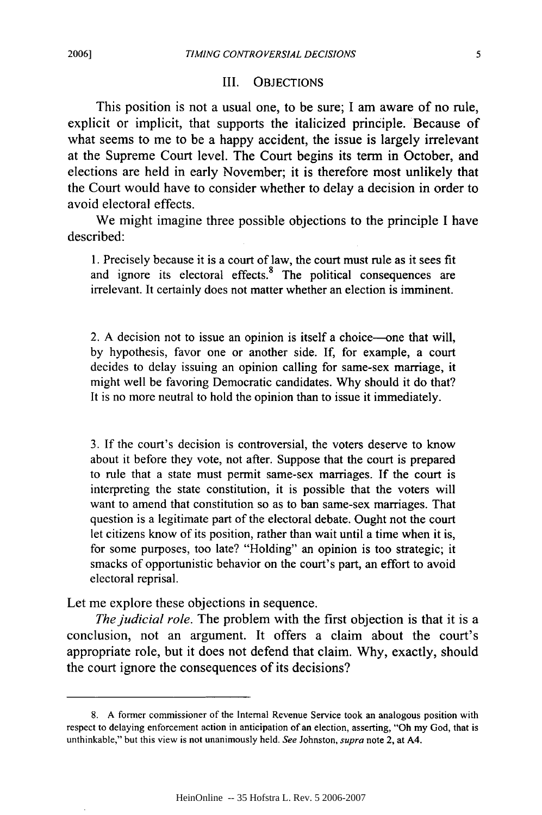#### III. OBJECTIONS

This position is not a usual one, to be sure; I am aware of no rule, explicit or implicit, that supports the italicized principle. Because of what seems to me to be a happy accident, the issue is largely irrelevant at the Supreme Court level. The Court begins its term in October, and elections are held in early November; it is therefore most unlikely that the Court would have to consider whether to delay a decision in order to avoid electoral effects.

We might imagine three possible objections to the principle I have described:

1. Precisely because it is a court of law, the court must rule as it sees fit and ignore its electoral effects. $8$  The political consequences are irrelevant. It certainly does not matter whether an election is imminent.

2. A decision not to issue an opinion is itself a choice-one that will, by hypothesis, favor one or another side. If, for example, a court decides to delay issuing an opinion calling for same-sex marriage, it might well be favoring Democratic candidates. Why should it do that? It is no more neutral to hold the opinion than to issue it immediately.

3. If the court's decision is controversial, the voters deserve to know about it before they vote, not after. Suppose that the court is prepared to rule that a state must permit same-sex marriages. If the court is interpreting the state constitution, it is possible that the voters will want to amend that constitution so as to ban same-sex marriages. That question is a legitimate part of the electoral debate. Ought not the court let citizens know of its position, rather than wait until a time when it is, for some purposes, too late? "Holding" an opinion is too strategic; it smacks of opportunistic behavior on the court's part, an effort to avoid electoral reprisal.

Let me explore these objections in sequence.

*The judicial role.* The problem with the first objection is that it is a conclusion, not an argument. It offers a claim about the court's appropriate role, but it does not defend that claim. Why, exactly, should the court ignore the consequences of its decisions?

<sup>8.</sup> A former commissioner of the Internal Revenue Service took an analogous position with respect to delaying enforcement action in anticipation of an election, asserting, "Oh my God, that is unthinkable," but this view is not unanimously held. *See* Johnston, supra note 2, at A4.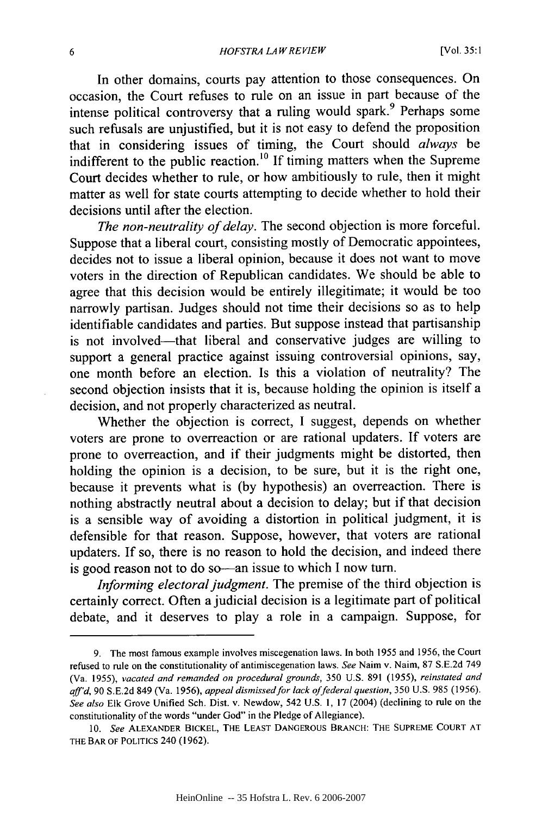In other domains, courts pay attention to those consequences. On occasion, the Court refuses to rule on an issue in part because of the intense political controversy that a ruling would spark.<sup>9</sup> Perhaps some such refusals are unjustified, but it is not easy to defend the proposition that in considering issues of timing, the Court should *always* be indifferent to the public reaction.<sup>10</sup> If timing matters when the Supreme Court decides whether to rule, or how ambitiously to rule, then it might matter as well for state courts attempting to decide whether to hold their decisions until after the election.

*The non-neutrality of delay.* The second objection is more forceful. Suppose that a liberal court, consisting mostly of Democratic appointees, decides not to issue a liberal opinion, because it does not want to move voters in the direction of Republican candidates. We should be able to agree that this decision would be entirely illegitimate; it would be too narrowly partisan. Judges should not time their decisions so as to help identifiable candidates and parties. But suppose instead that partisanship is not involved-that liberal and conservative judges are willing to support a general practice against issuing controversial opinions, say, one month before an election. Is this a violation of neutrality? The second objection insists that it is, because holding the opinion is itself a decision, and not properly characterized as neutral.

Whether the objection is correct, I suggest, depends on whether voters are prone to overreaction or are rational updaters. If voters are prone to overreaction, and if their judgments might be distorted, then holding the opinion is a decision, to be sure, but it is the right one, because it prevents what is (by hypothesis) an overreaction. There is nothing abstractly neutral about a decision to delay; but if that decision is a sensible way of avoiding a distortion in political judgment, it is defensible for that reason. Suppose, however, that voters are rational updaters. If so, there is no reason to hold the decision, and indeed there is good reason not to do so-an issue to which I now turn.

*Informing electoral judgment.* The premise of the third objection is certainly correct. Often a judicial decision is a legitimate part of political debate, and it deserves to play a role in a campaign. Suppose, for

<sup>9.</sup> The most famous example involves miscegenation laws. In both 1955 and 1956, the Court refused to rule on the constitutionality of antimiscegenation laws. See Naim v. Naim, 87 S.E.2d 749 (Va. 1955), vacated and remanded *on* procedural grounds, 350 U.S. 891 (1955), reinstated and aff'd, 90 S.E.2d 849 (Va. 1956), appeal dismissed for lack of federal question, 350 U.S. 985 (1956). See also Elk Grove Unified Sch. Dist. v. Newdow, 542 U.S. 1, 17 (2004) (declining to rule on the constitutionality of the words "under God" in the Pledge of Allegiance).

**<sup>10.</sup>** See ALEXANDER BICKEL, **THE LEAST DANGEROUS** BRANCH: **THE SUPREME COURT AT THE BAR** OF POLITICS 240 (1962).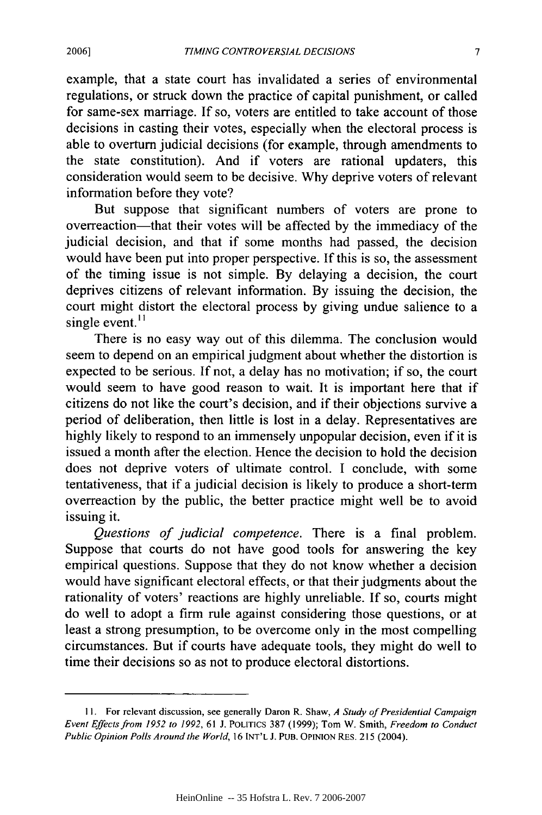example, that a state court has invalidated a series of environmental regulations, or struck down the practice of capital punishment, or called for same-sex marriage. If so, voters are entitled to take account of those decisions in casting their votes, especially when the electoral process is able to overturn judicial decisions (for example, through amendments to the state constitution). And if voters are rational updaters, this consideration would seem to be decisive. Why deprive voters of relevant information before they vote?

But suppose that significant numbers of voters are prone to overreaction-that their votes will be affected by the immediacy of the judicial decision, and that if some months had passed, the decision would have been put into proper perspective. If this is so, the assessment of the timing issue is not simple. By delaying a decision, the court deprives citizens of relevant information. By issuing the decision, the court might distort the electoral process by giving undue salience to a single event. $<sup>11</sup>$ </sup>

There is no easy way out of this dilemma. The conclusion would seem to depend on an empirical judgment about whether the distortion is expected to be serious. If not, a delay has no motivation; if so, the court would seem to have good reason to wait. It is important here that if citizens do not like the court's decision, and if their objections survive a period of deliberation, then little is lost in a delay. Representatives are highly likely to respond to an immensely unpopular decision, even if it is issued a month after the election. Hence the decision to hold the decision does not deprive voters of ultimate control. I conclude, with some tentativeness, that if a judicial decision is likely to produce a short-term overreaction by the public, the better practice might well be to avoid issuing it.

*Questions of judicial competence.* There is a final problem. Suppose that courts do not have good tools for answering the key empirical questions. Suppose that they do not know whether a decision would have significant electoral effects, or that their judgments about the rationality of voters' reactions are highly unreliable. If so, courts might do well to adopt a firm rule against considering those questions, or at least a strong presumption, to be overcome only in the most compelling circumstances. But if courts have adequate tools, they might do well to time their decisions so as not to produce electoral distortions.

**<sup>11.</sup>** For relevant discussion, see generally Daron R. Shaw, *A Study of Presidential Campaign Event Effects from 1952 to 1992,* 61 J. POLITICS 387 (1999); Tom W. Smith, *Freedom to Conduct Public Opinion Polls Around the World,* 16 INT'L *J.* PUB. OPINION RES. 215 (2004).